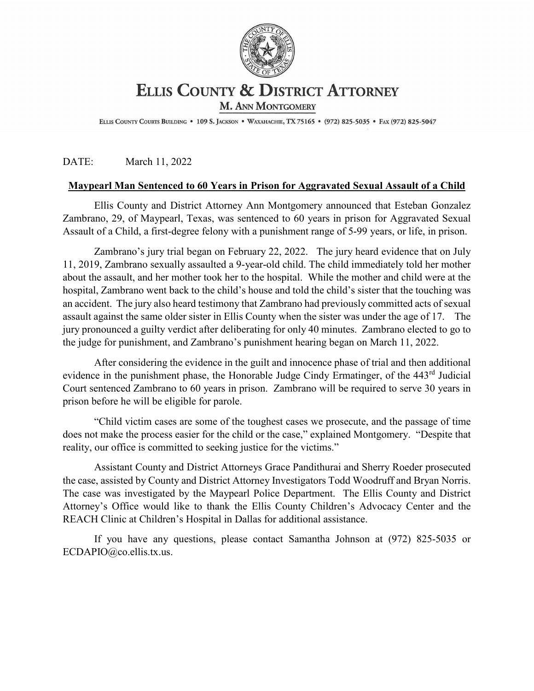

## **ELLIS COUNTY & DISTRICT ATTORNEY**

M. ANN MONTGOMERY

ELLIS COUNTY COURTS BUILDING . 109 S. JACKSON . WAXAHACHIE, TX 75165 . (972) 825-5035 . FAX (972) 825-5047

## DATE: March 11, 2022

## **Maypearl Man Sentenced to 60 Years in Prison for Aggravated Sexual Assault of a Child**

Ellis County and District Attorney Ann Montgomery announced that Esteban Gonzalez Zambrano, 29, of Maypearl, Texas, was sentenced to 60 years in prison for Aggravated Sexual Assault of a Child, a first-degree felony with a punishment range of 5-99 years, or life, in prison.

Zambrano's jury trial began on February 22, 2022. The jury heard evidence that on July 11, 2019, Zambrano sexually assaulted a 9-year-old child. The child immediately told her mother about the assault, and her mother took her to the hospital. While the mother and child were at the hospital, Zambrano went back to the child's house and told the child's sister that the touching was an accident. The jury also heard testimony that Zambrano had previously committed acts of sexual assault against the same older sister in Ellis County when the sister was under the age of 17. The jury pronounced a guilty verdict after deliberating for only 40 minutes. Zambrano elected to go to the judge for punishment, and Zambrano's punishment hearing began on March 11, 2022.

After considering the evidence in the guilt and innocence phase of trial and then additional evidence in the punishment phase, the Honorable Judge Cindy Ermatinger, of the 443<sup>rd</sup> Judicial Court sentenced Zambrano to 60 years in prison. Zambrano will be required to serve 30 years in prison before he will be eligible for parole.

"Child victim cases are some of the toughest cases we prosecute, and the passage of time does not make the process easier for the child or the case," explained Montgomery. "Despite that reality, our office is committed to seeking justice for the victims."

Assistant County and District Attorneys Grace Pandithurai and Sherry Roeder prosecuted the case, assisted by County and District Attorney Investigators Todd Woodruff and Bryan Norris. The case was investigated by the Maypearl Police Department. The Ellis County and District Attorney's Office would like to thank the Ellis County Children's Advocacy Center and the REACH Clinic at Children's Hospital in Dallas for additional assistance.

If you have any questions, please contact Samantha Johnson at (972) 825-5035 or ECDAPIO@co.ellis.tx.us.